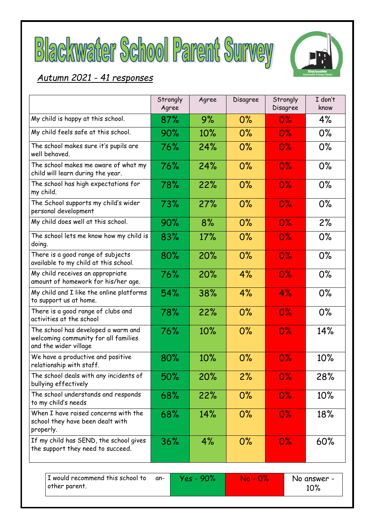



# *Autumn 2021 - 41 responses*

|                                                                                                      | Strongly<br>Agree | Agree | Disagree   | Strongly<br>Disagree | I don't<br>know    |
|------------------------------------------------------------------------------------------------------|-------------------|-------|------------|----------------------|--------------------|
| My child is happy at this school.                                                                    | 87%               | 9%    | 0%         | $0\%$                | 4%                 |
| My child feels safe at this school.                                                                  | 90%               | 10%   | 0%         | $0\%$                | $0\%$              |
| The school makes sure it's pupils are<br>well behaved.                                               | 76%               | 24%   | $0\%$      | $0\%$                | $0\%$              |
| The school makes me aware of what my<br>child will learn during the year.                            | 76%               | 24%   | 0%         | $0\%$                | $0\%$              |
| The school has high expectations for<br>my child.                                                    | 78%               | 22%   | 0%         | $0\%$                | $0\%$              |
| The School supports my child's wider<br>personal development                                         | 73%               | 27%   | $0\%$      | $0\%$                | $0\%$              |
| My child does well at this school.                                                                   | 90%               | 8%    | 0%         | $0\%$                | 2%                 |
| The school lets me know how my child is<br>doing.                                                    | 83%               | 17%   | 0%         | $0\%$                | 0%                 |
| There is a good range of subjects<br>available to my child at this school.                           | 80%               | 20%   | 0%         | $0\%$                | $0\%$              |
| My child receives an appropriate<br>amount of homework for his/her age.                              | 76%               | 20%   | 4%         | $0\%$                | $0\%$              |
| My child and I like the online platforms<br>to support us at home.                                   | 54%               | 38%   | 4%         | 4%                   | $0\%$              |
| There is a good range of clubs and<br>activities at the school                                       | 78%               | 22%   | 0%         | $0\%$                | $0\%$              |
| The school has developed a warm and<br>welcoming community for all families<br>and the wider village | 76%               | 10%   | 0%         | $0\%$                | 14%                |
| We have a productive and positive<br>relationship with staff.                                        | 80%               | 10%   | 0%         | $0\%$                | 10%                |
| The school deals with any incidents of<br>bullying effectively                                       | $50\%$            | 20%   | 2%         | $0\%$                | 28%                |
| The school understands and responds<br>to my child's needs                                           | 68%               | 22%   | 0%         | $0\%$                | 10%                |
| When I have raised concerns with the<br>school they have been dealt with<br>properly.                | 68%               | 14%   | $0\%$      | $0\%$                | 18%                |
| If my child has SEND, the school gives<br>the support they need to succeed.                          | 36%               | 4%    | 0%         | $0\%$                | 60%                |
| I would recommend this school to<br>other parent.                                                    | Yes - 90%<br>an-  |       | $No - 0\%$ |                      | No answer -<br>10% |